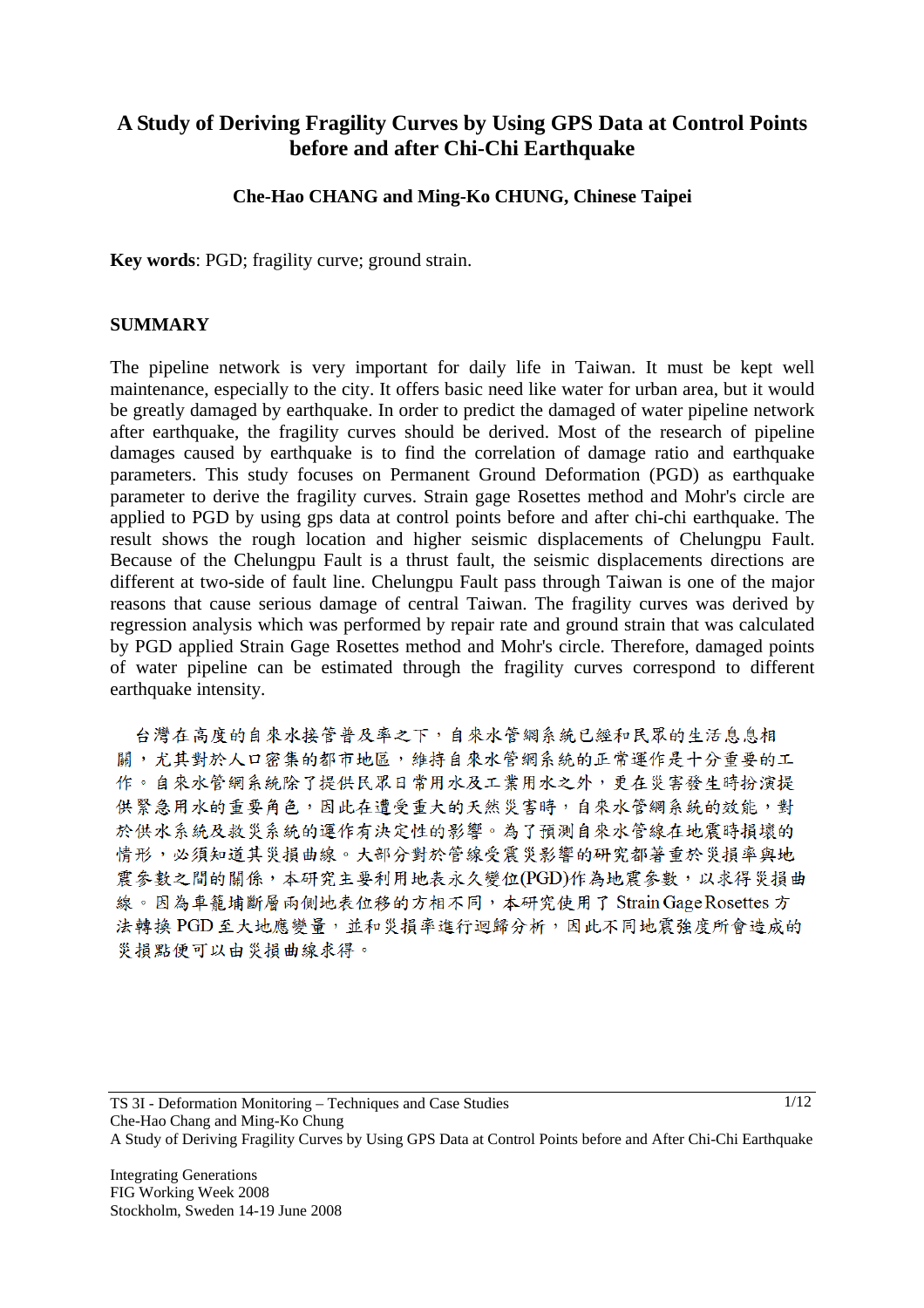# **A Study of Deriving Fragility Curves by Using GPS Data at Control Points before and after Chi-Chi Earthquake**

# **Che-Hao CHANG and Ming-Ko CHUNG, Chinese Taipei**

**Key words**: PGD; fragility curve; ground strain.

#### **SUMMARY**

The pipeline network is very important for daily life in Taiwan. It must be kept well maintenance, especially to the city. It offers basic need like water for urban area, but it would be greatly damaged by earthquake. In order to predict the damaged of water pipeline network after earthquake, the fragility curves should be derived. Most of the research of pipeline damages caused by earthquake is to find the correlation of damage ratio and earthquake parameters. This study focuses on Permanent Ground Deformation (PGD) as earthquake parameter to derive the fragility curves. Strain gage Rosettes method and Mohr's circle are applied to PGD by using gps data at control points before and after chi-chi earthquake. The result shows the rough location and higher seismic displacements of Chelungpu Fault. Because of the Chelungpu Fault is a thrust fault, the seismic displacements directions are different at two-side of fault line. Chelungpu Fault pass through Taiwan is one of the major reasons that cause serious damage of central Taiwan. The fragility curves was derived by regression analysis which was performed by repair rate and ground strain that was calculated by PGD applied Strain Gage Rosettes method and Mohr's circle. Therefore, damaged points of water pipeline can be estimated through the fragility curves correspond to different earthquake intensity.

台灣在高度的自來水接管普及率之下,自來水管網系統已經和民眾的生活息息相 關,尤其對於人口密集的都市地區,維持自來水管網系統的正常運作是十分重要的工 作。自來水管網系統除了提供民眾日常用水及工業用水之外,更在災害發生時扮演提 供緊急用水的重要角色,因此在遭受重大的天然災害時,自來水管網系統的效能,對 於供水系統及救災系統的運作有決定性的影響。為了預測自來水管線在地震時損壞的 情形,必須知道其災損曲線。大部分對於管線受震災影響的研究都著重於災損率與地 震參數之間的關係,本研究主要利用地表永久變位(PGD)作為地震參數,以求得災損曲 線。因為車籠埔斷層兩側地表位移的方相不同,本研究使用了 Strain Gage Rosettes 方 法轉換 PGD 至大地應變量,並和災損率進行迴歸分析,因此不同地震強度所會造成的 災捐點便可以由災捐曲線求得。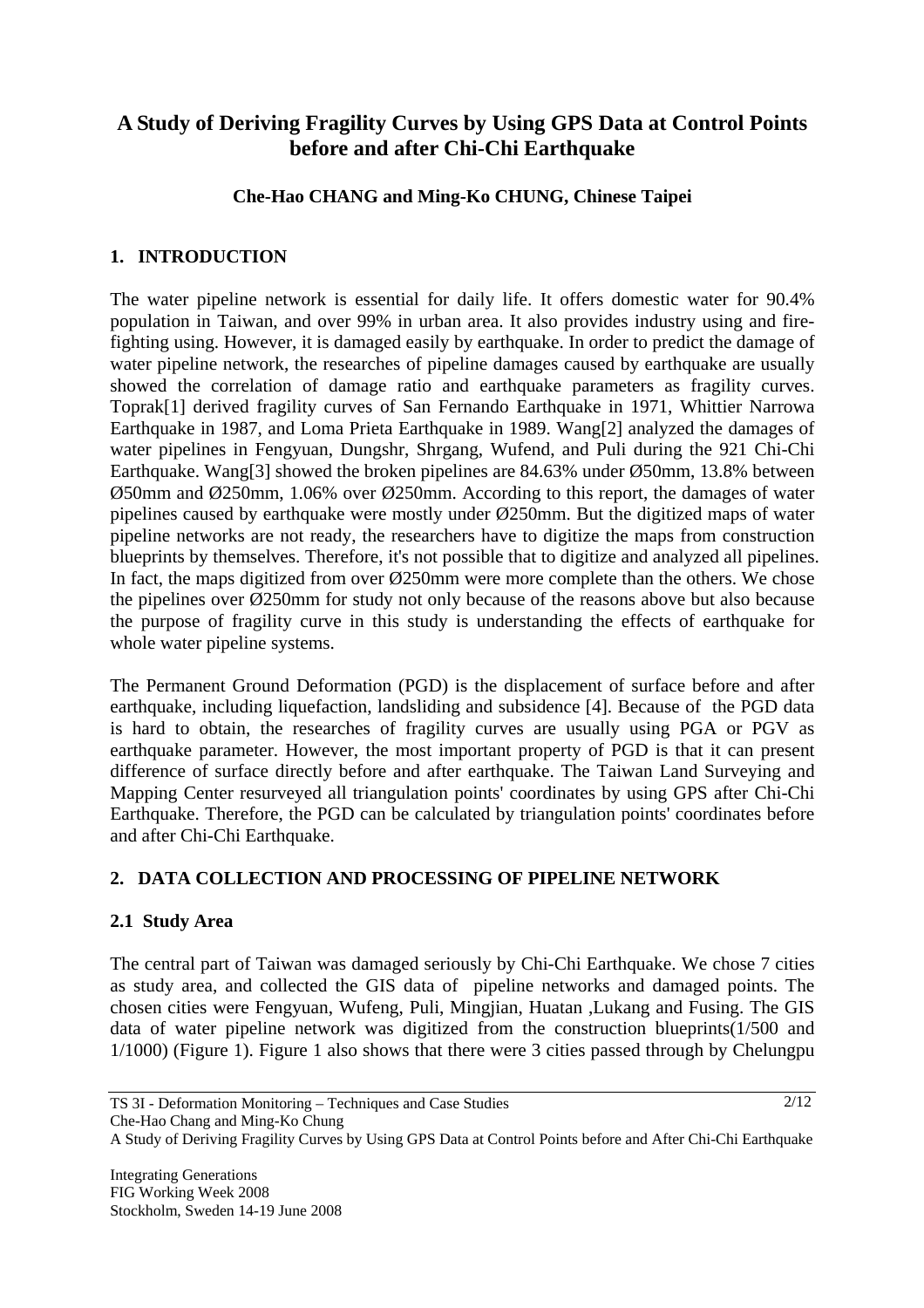# **A Study of Deriving Fragility Curves by Using GPS Data at Control Points before and after Chi-Chi Earthquake**

# **Che-Hao CHANG and Ming-Ko CHUNG, Chinese Taipei**

# **1. INTRODUCTION**

The water pipeline network is essential for daily life. It offers domestic water for 90.4% population in Taiwan, and over 99% in urban area. It also provides industry using and firefighting using. However, it is damaged easily by earthquake. In order to predict the damage of water pipeline network, the researches of pipeline damages caused by earthquake are usually showed the correlation of damage ratio and earthquake parameters as fragility curves. Toprak[1] derived fragility curves of San Fernando Earthquake in 1971, Whittier Narrowa Earthquake in 1987, and Loma Prieta Earthquake in 1989. Wang[2] analyzed the damages of water pipelines in Fengyuan, Dungshr, Shrgang, Wufend, and Puli during the 921 Chi-Chi Earthquake. Wang[3] showed the broken pipelines are 84.63% under Ø50mm, 13.8% between Ø50mm and Ø250mm, 1.06% over Ø250mm. According to this report, the damages of water pipelines caused by earthquake were mostly under Ø250mm. But the digitized maps of water pipeline networks are not ready, the researchers have to digitize the maps from construction blueprints by themselves. Therefore, it's not possible that to digitize and analyzed all pipelines. In fact, the maps digitized from over Ø250mm were more complete than the others. We chose the pipelines over Ø250mm for study not only because of the reasons above but also because the purpose of fragility curve in this study is understanding the effects of earthquake for whole water pipeline systems.

The Permanent Ground Deformation (PGD) is the displacement of surface before and after earthquake, including liquefaction, landsliding and subsidence [4]. Because of the PGD data is hard to obtain, the researches of fragility curves are usually using PGA or PGV as earthquake parameter. However, the most important property of PGD is that it can present difference of surface directly before and after earthquake. The Taiwan Land Surveying and Mapping Center resurveyed all triangulation points' coordinates by using GPS after Chi-Chi Earthquake. Therefore, the PGD can be calculated by triangulation points' coordinates before and after Chi-Chi Earthquake.

# **2. DATA COLLECTION AND PROCESSING OF PIPELINE NETWORK**

# **2.1 Study Area**

The central part of Taiwan was damaged seriously by Chi-Chi Earthquake. We chose 7 cities as study area, and collected the GIS data of pipeline networks and damaged points. The chosen cities were Fengyuan, Wufeng, Puli, Mingjian, Huatan ,Lukang and Fusing. The GIS data of water pipeline network was digitized from the construction blueprints(1/500 and 1/1000) (Figure 1). Figure 1 also shows that there were 3 cities passed through by Chelungpu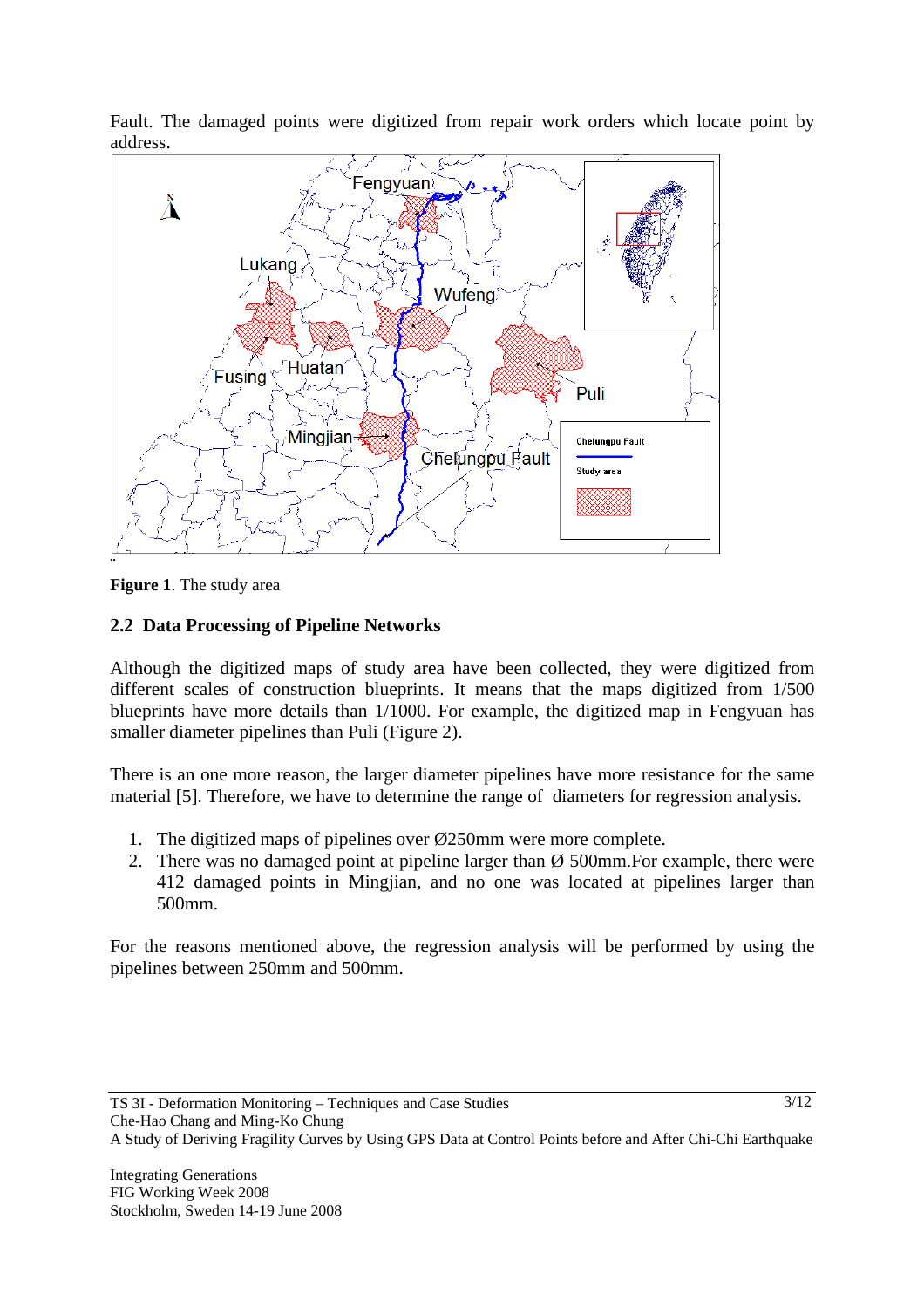

Fault. The damaged points were digitized from repair work orders which locate point by address.

**Figure 1**. The study area

# **2.2 Data Processing of Pipeline Networks**

Although the digitized maps of study area have been collected, they were digitized from different scales of construction blueprints. It means that the maps digitized from 1/500 blueprints have more details than 1/1000. For example, the digitized map in Fengyuan has smaller diameter pipelines than Puli (Figure 2).

There is an one more reason, the larger diameter pipelines have more resistance for the same material [5]. Therefore, we have to determine the range of diameters for regression analysis.

- 1. The digitized maps of pipelines over Ø250mm were more complete.
- 2. There was no damaged point at pipeline larger than  $\varnothing$  500mm. For example, there were 412 damaged points in Mingjian, and no one was located at pipelines larger than 500mm.

For the reasons mentioned above, the regression analysis will be performed by using the pipelines between 250mm and 500mm.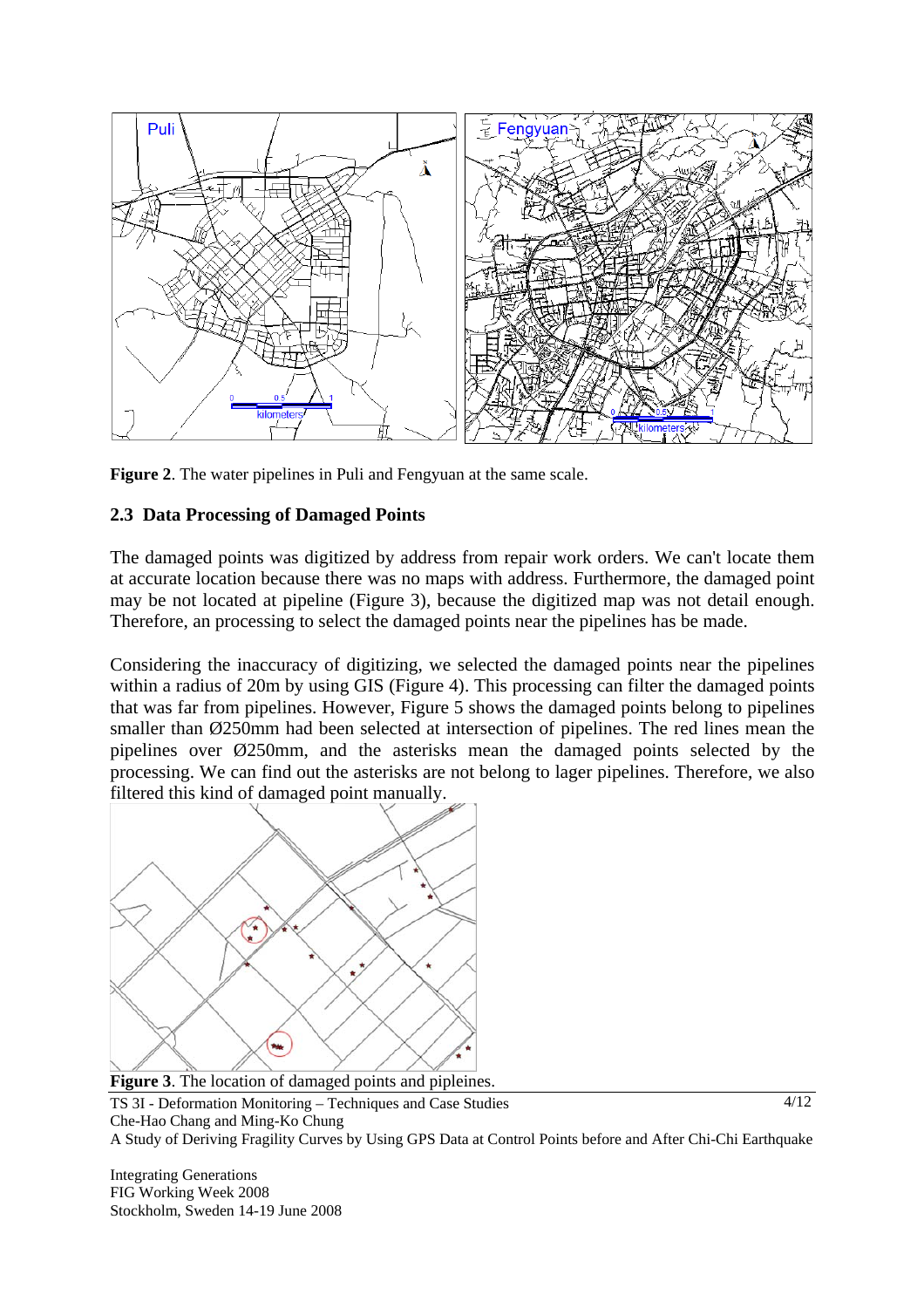

**Figure 2**. The water pipelines in Puli and Fengyuan at the same scale.

# **2.3 Data Processing of Damaged Points**

The damaged points was digitized by address from repair work orders. We can't locate them at accurate location because there was no maps with address. Furthermore, the damaged point may be not located at pipeline (Figure 3), because the digitized map was not detail enough. Therefore, an processing to select the damaged points near the pipelines has be made.

Considering the inaccuracy of digitizing, we selected the damaged points near the pipelines within a radius of 20m by using GIS (Figure 4). This processing can filter the damaged points that was far from pipelines. However, Figure 5 shows the damaged points belong to pipelines smaller than Ø250mm had been selected at intersection of pipelines. The red lines mean the pipelines over Ø250mm, and the asterisks mean the damaged points selected by the processing. We can find out the asterisks are not belong to lager pipelines. Therefore, we also filtered this kind of damaged point manually.



**Figure 3.** The location of damaged points and pipleines.

Integrating Generations FIG Working Week 2008 Stockholm, Sweden 14-19 June 2008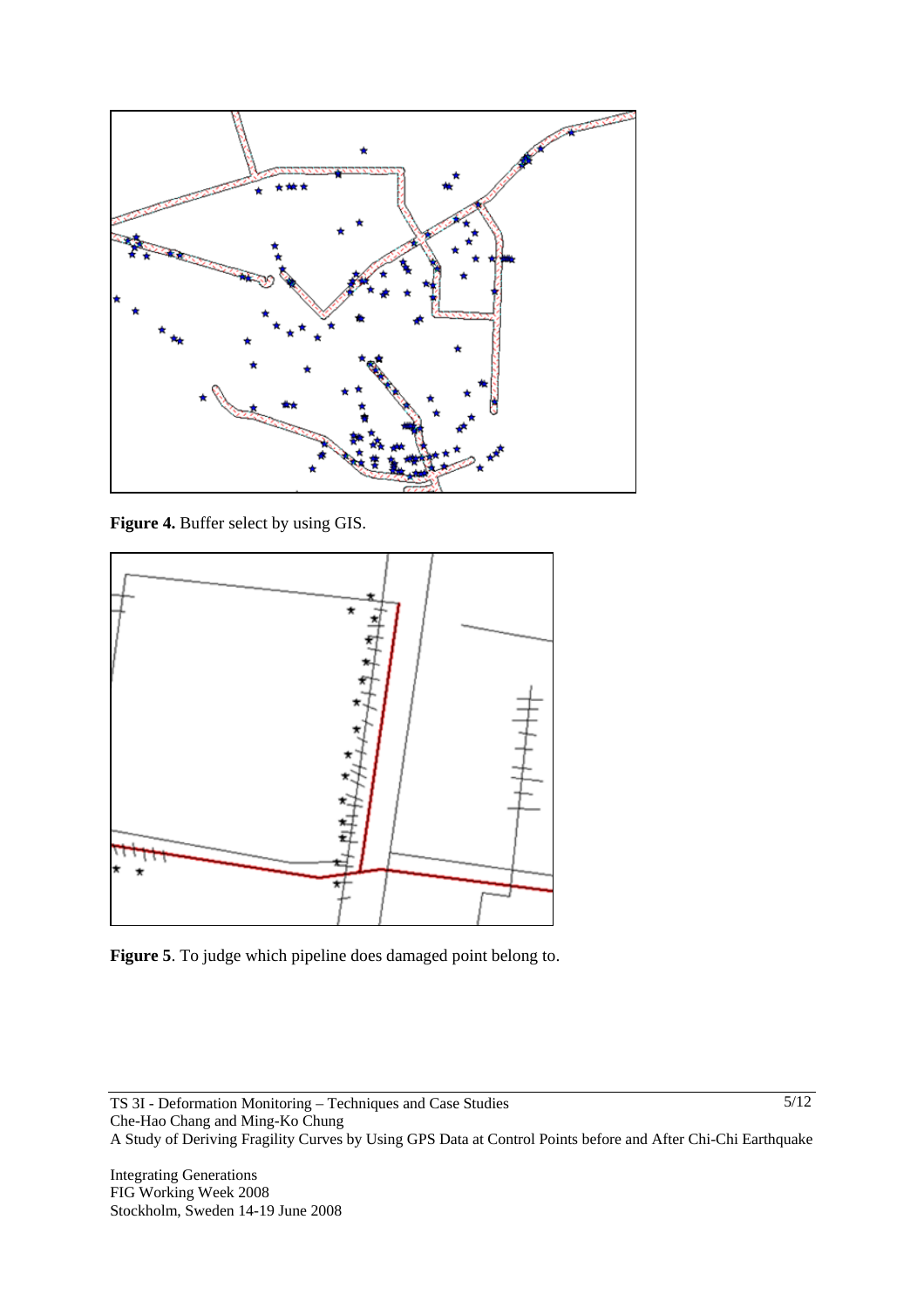

**Figure 4.** Buffer select by using GIS.



**Figure 5**. To judge which pipeline does damaged point belong to.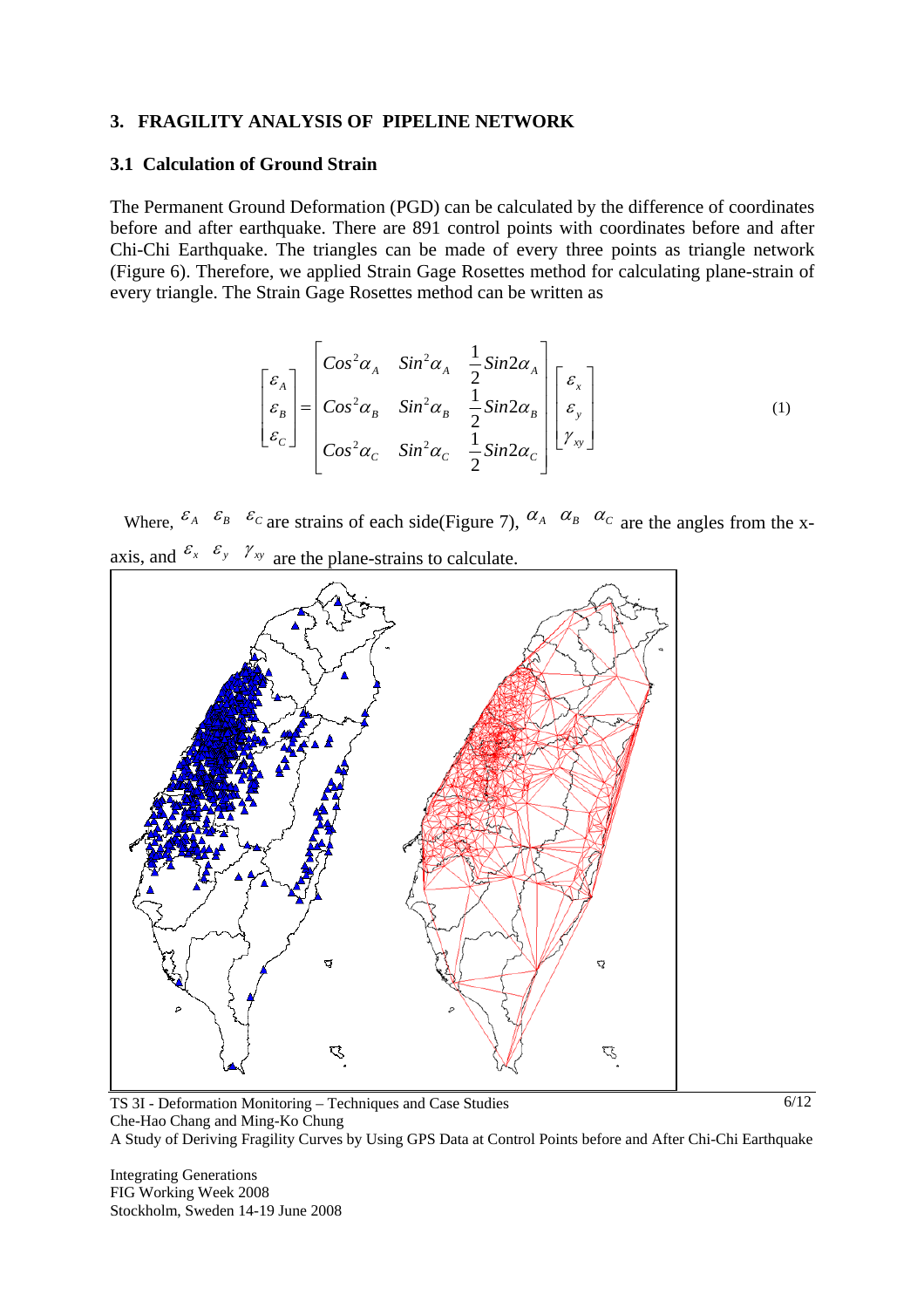#### **3. FRAGILITY ANALYSIS OF PIPELINE NETWORK**

#### **3.1 Calculation of Ground Strain**

The Permanent Ground Deformation (PGD) can be calculated by the difference of coordinates before and after earthquake. There are 891 control points with coordinates before and after Chi-Chi Earthquake. The triangles can be made of every three points as triangle network (Figure 6). Therefore, we applied Strain Gage Rosettes method for calculating plane-strain of every triangle. The Strain Gage Rosettes method can be written as

$$
\begin{bmatrix} \varepsilon_A \\ \varepsilon_B \\ \varepsilon_C \end{bmatrix} = \begin{bmatrix} \cos^2 \alpha_A & \sin^2 \alpha_A & \frac{1}{2} \sin 2\alpha_A \\ \cos^2 \alpha_B & \sin^2 \alpha_B & \frac{1}{2} \sin 2\alpha_B \\ \cos^2 \alpha_C & \sin^2 \alpha_C & \frac{1}{2} \sin 2\alpha_C \end{bmatrix} \begin{bmatrix} \varepsilon_x \\ \varepsilon_y \\ \gamma_{xy} \end{bmatrix} \tag{1}
$$

Where,  $\mathcal{E}_A$   $\mathcal{E}_B$   $\mathcal{E}_C$  are strains of each side(Figure 7),  $\alpha_A$   $\alpha_B$   $\alpha_C$  are the angles from the xaxis, and  $\epsilon_x \epsilon_y \gamma_{xy}$  are the plane-strains to calculate.



TS 3I - Deformation Monitoring – Techniques and Case Studies Che-Hao Chang and Ming-Ko Chung A Study of Deriving Fragility Curves by Using GPS Data at Control Points before and After Chi-Chi Earthquake 6/12

Integrating Generations FIG Working Week 2008 Stockholm, Sweden 14-19 June 2008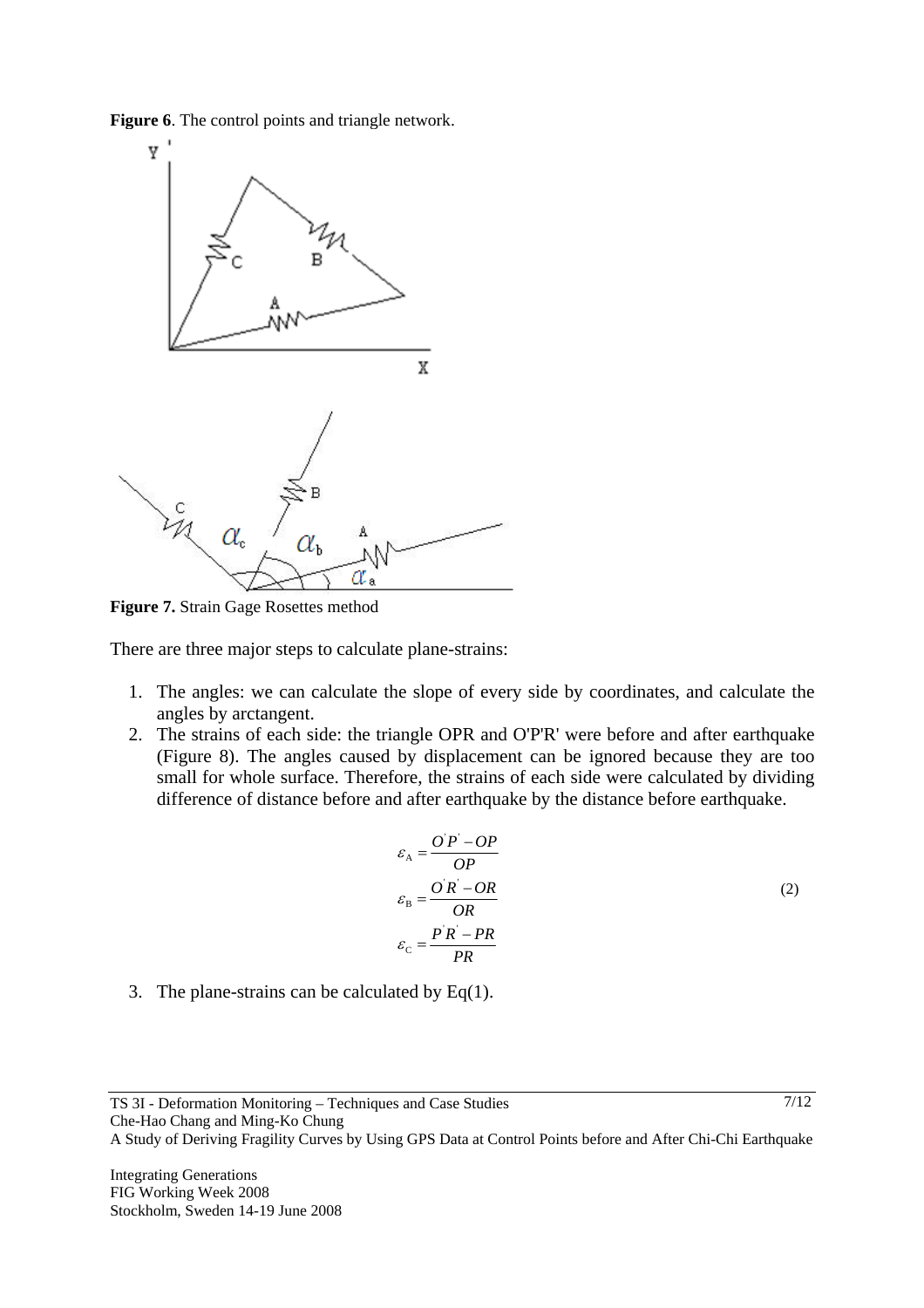**Figure 6**. The control points and triangle network.



**Figure 7.** Strain Gage Rosettes method

There are three major steps to calculate plane-strains:

- 1. The angles: we can calculate the slope of every side by coordinates, and calculate the angles by arctangent.
- 2. The strains of each side: the triangle OPR and O'P'R' were before and after earthquake (Figure 8). The angles caused by displacement can be ignored because they are too small for whole surface. Therefore, the strains of each side were calculated by dividing difference of distance before and after earthquake by the distance before earthquake.

$$
\varepsilon_{A} = \frac{OP - OP}{OP}
$$
  
\n
$$
\varepsilon_{B} = \frac{OR - OR}{OR}
$$
  
\n
$$
\varepsilon_{C} = \frac{PR - PR}{PR}
$$
\n(2)

3. The plane-strains can be calculated by  $Eq(1)$ .

7/12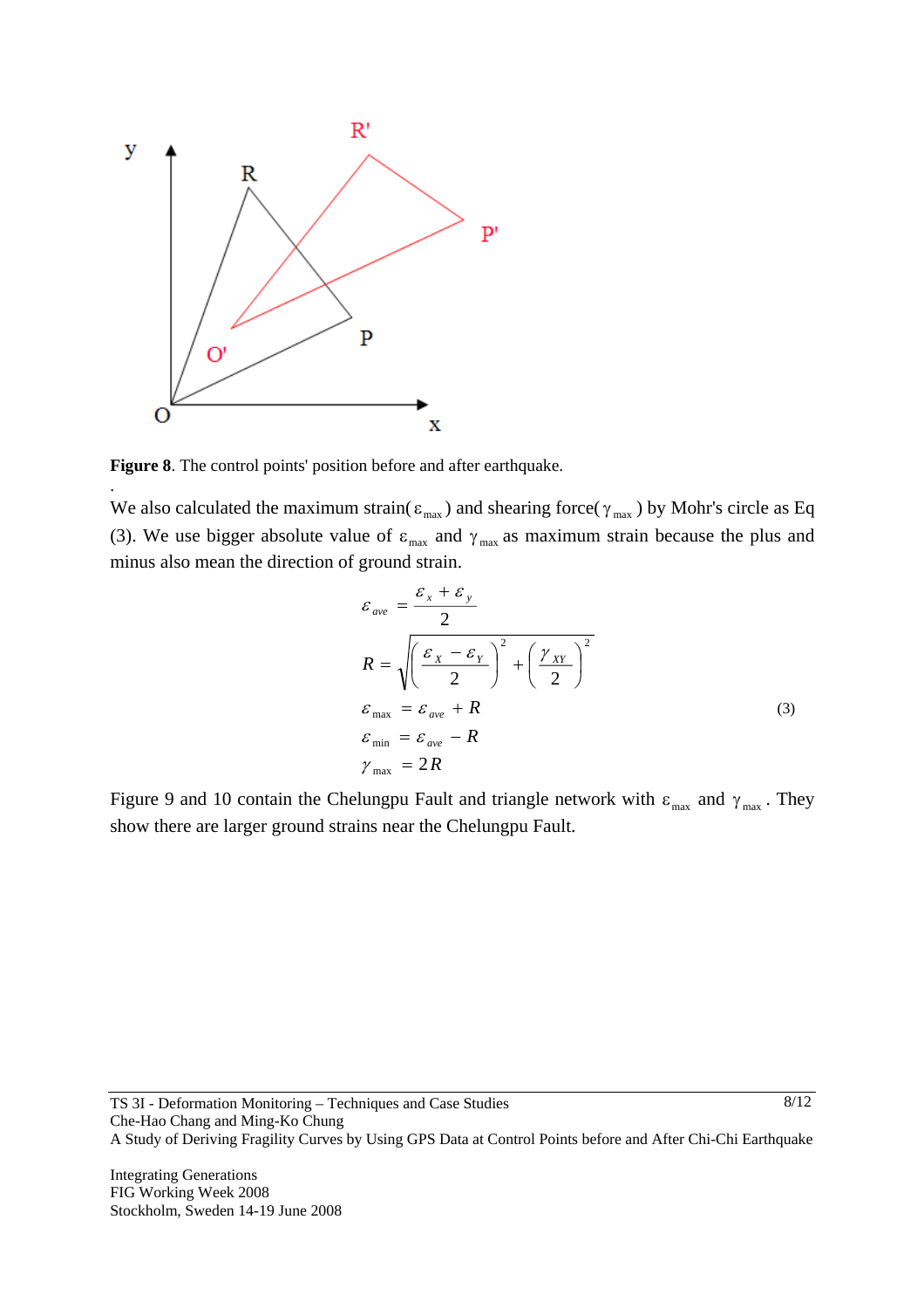

**Figure 8**. The control points' position before and after earthquake.

.

We also calculated the maximum strain( $\varepsilon_{\text{max}}$ ) and shearing force( $\gamma_{\text{max}}$ ) by Mohr's circle as Eq (3). We use bigger absolute value of  $\varepsilon_{\text{max}}$  and  $\gamma_{\text{max}}$  as maximum strain because the plus and minus also mean the direction of ground strain.

$$
\varepsilon_{ave} = \frac{\varepsilon_x + \varepsilon_y}{2}
$$
\n
$$
R = \sqrt{\left(\frac{\varepsilon_x - \varepsilon_y}{2}\right)^2 + \left(\frac{\gamma_{XY}}{2}\right)^2}
$$
\n
$$
\varepsilon_{max} = \varepsilon_{ave} + R
$$
\n
$$
\varepsilon_{min} = \varepsilon_{ave} - R
$$
\n
$$
\gamma_{max} = 2R
$$
\n(3)

Figure 9 and 10 contain the Chelungpu Fault and triangle network with  $\varepsilon_{\text{max}}$  and  $\gamma_{\text{max}}$ . They show there are larger ground strains near the Chelungpu Fault.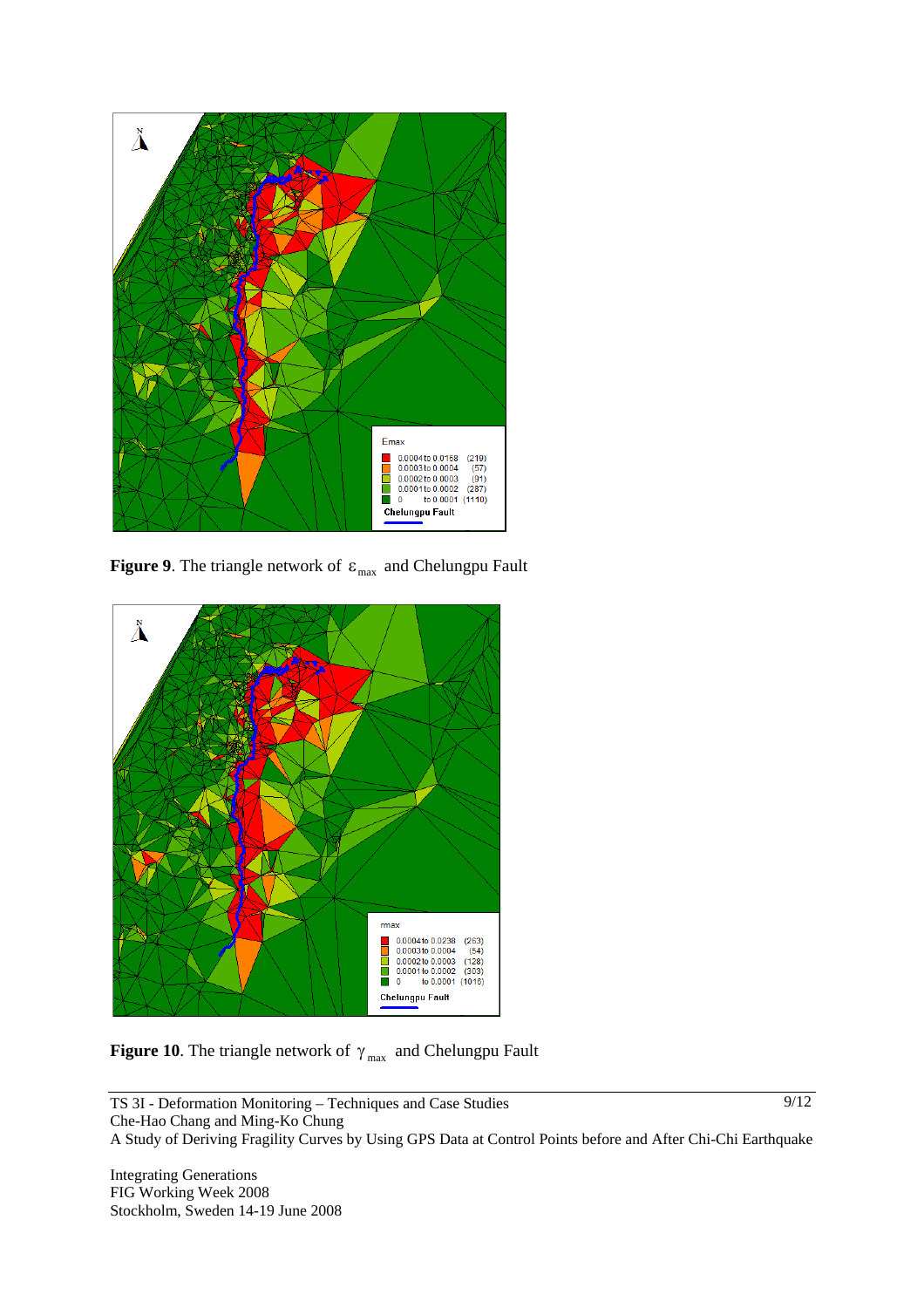

**Figure 9**. The triangle network of  $\varepsilon_{\text{max}}$  and Chelungpu Fault



**Figure 10**. The triangle network of  $\gamma_{\text{max}}$  and Chelungpu Fault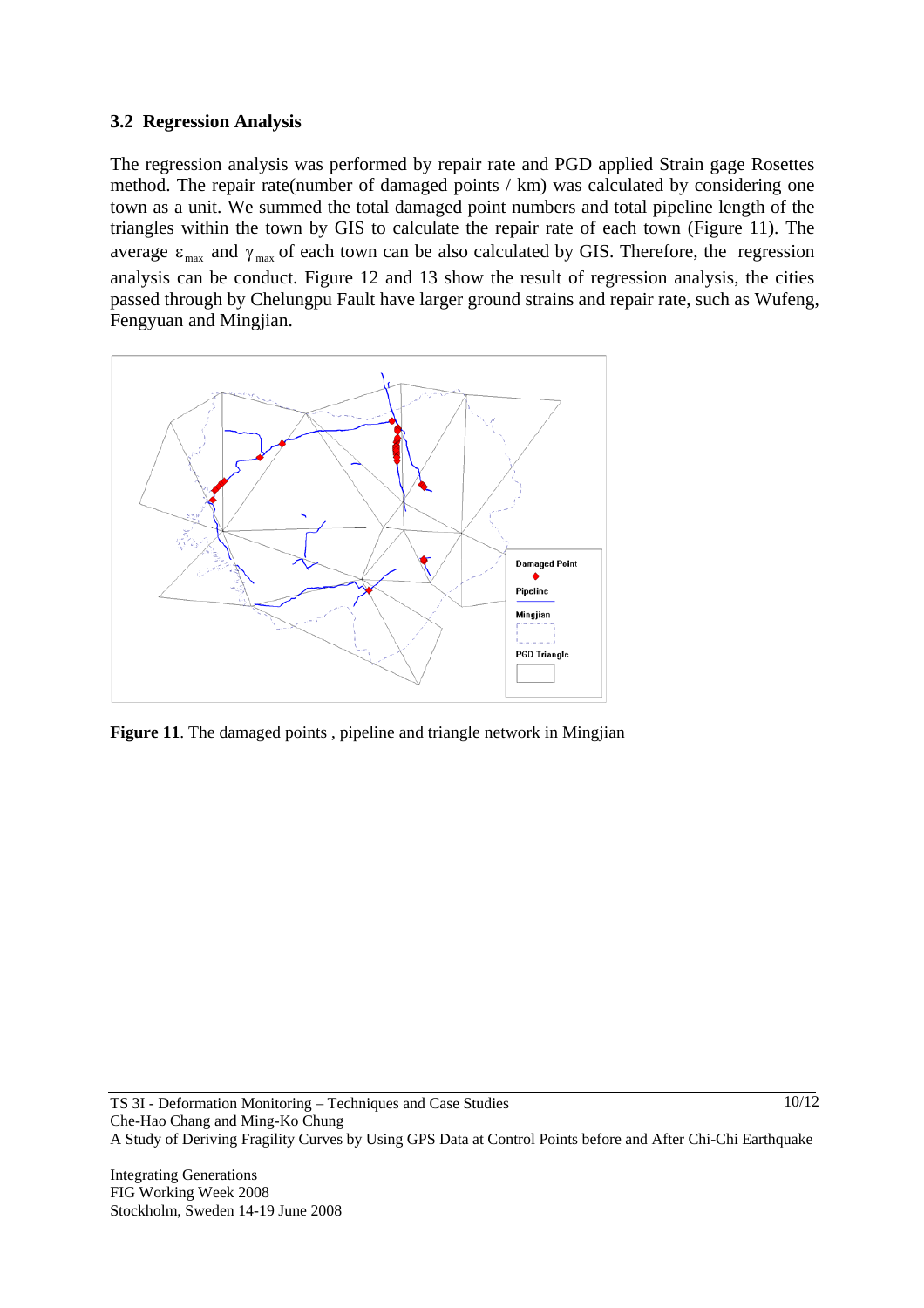# **3.2 Regression Analysis**

The regression analysis was performed by repair rate and PGD applied Strain gage Rosettes method. The repair rate(number of damaged points / km) was calculated by considering one town as a unit. We summed the total damaged point numbers and total pipeline length of the triangles within the town by GIS to calculate the repair rate of each town (Figure 11). The average  $\varepsilon_{\text{max}}$  and  $\gamma_{\text{max}}$  of each town can be also calculated by GIS. Therefore, the regression analysis can be conduct. Figure 12 and 13 show the result of regression analysis, the cities passed through by Chelungpu Fault have larger ground strains and repair rate, such as Wufeng, Fengyuan and Mingjian.



**Figure 11**. The damaged points, pipeline and triangle network in Mingjian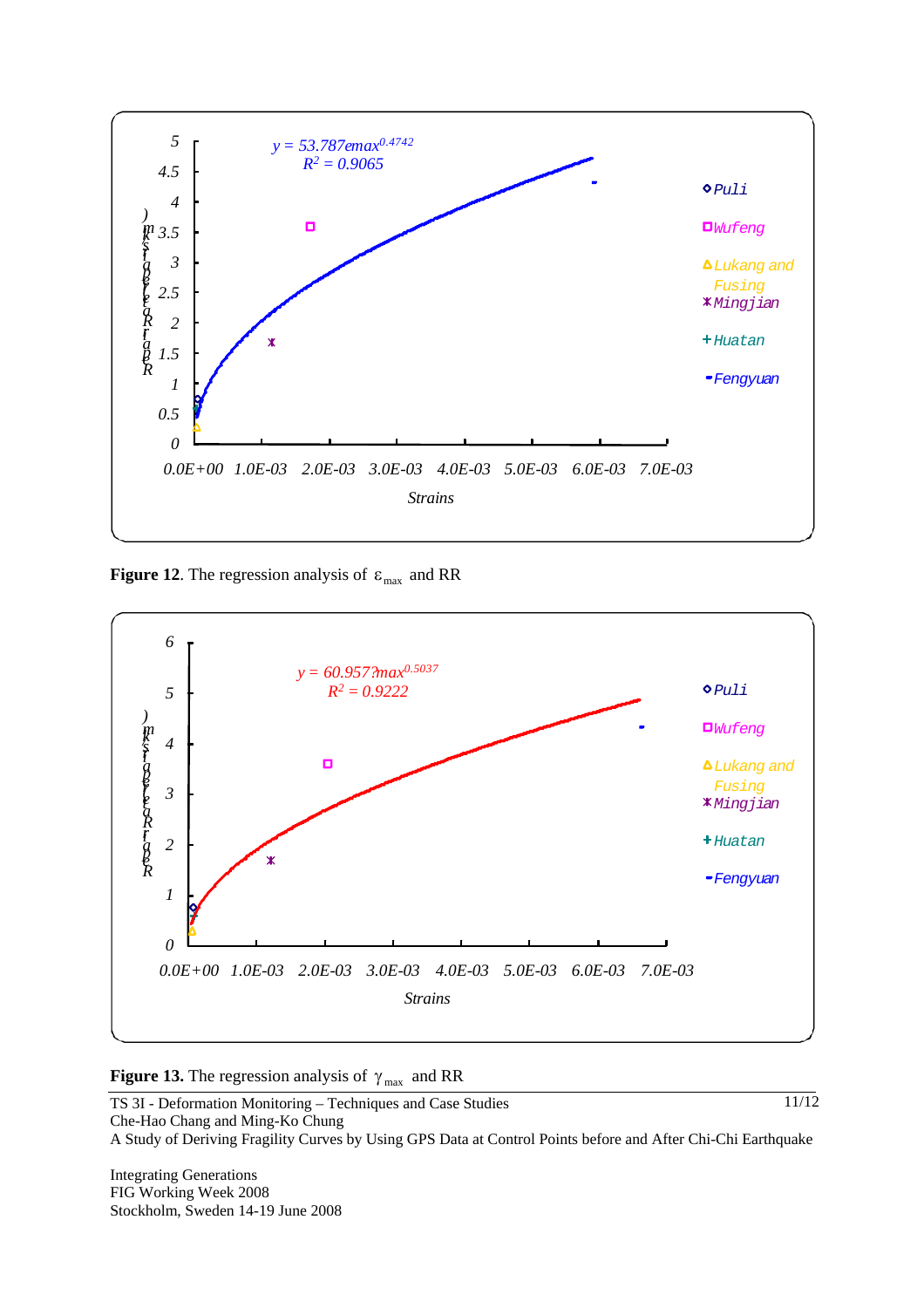

**Figure 12.** The regression analysis of  $\varepsilon_{\text{max}}$  and RR





TS 3I - Deformation Monitoring – Techniques and Case Studies Che-Hao Chang and Ming-Ko Chung A Study of Deriving Fragility Curves by Using GPS Data at Control Points before and After Chi-Chi Earthquake 11/12

Integrating Generations FIG Working Week 2008 Stockholm, Sweden 14-19 June 2008